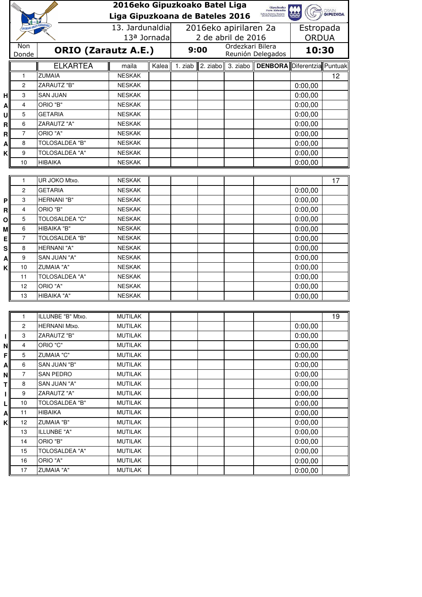|           |                    |                                   | 2016eko Gipuzkoako Batel Liga<br>Gipuzkoako<br>Foru Aldundia                                   |       |                       |  |                   |                                    |                    |                 |
|-----------|--------------------|-----------------------------------|------------------------------------------------------------------------------------------------|-------|-----------------------|--|-------------------|------------------------------------|--------------------|-----------------|
|           |                    |                                   | <b>GRAN</b><br><b>GIPUZKOA</b><br>ultura, Turismo, Gazteria<br>Liga Gipuzkoana de Bateles 2016 |       |                       |  |                   |                                    |                    |                 |
|           | GIPUZKIAKO ARRAINA |                                   | 13. Jardunaldia                                                                                |       | 2016eko apirilaren 2a |  |                   |                                    | Estropada          |                 |
|           |                    |                                   | 13ª Jornada                                                                                    |       | 2 de abril de 2016    |  |                   |                                    | <b>ORDUA</b>       |                 |
|           | Non                |                                   |                                                                                                |       | 9:00                  |  | Ordezkari Bilera  |                                    | 10:30              |                 |
|           | Donde              |                                   | <b>ORIO (Zarautz A.E.)</b>                                                                     |       |                       |  | Reunión Delegados |                                    |                    |                 |
|           |                    | <b>ELKARTEA</b>                   | maila                                                                                          | Kalea | 1. ziab               |  | 2. ziabo 3. ziabo | <b>DENBORA</b> Diferentzia Puntuak |                    |                 |
|           | 1                  | <b>ZUMAIA</b>                     | <b>NESKAK</b>                                                                                  |       |                       |  |                   |                                    |                    | 12              |
|           | $\overline{c}$     | <b>ZARAUTZ "B"</b>                | <b>NESKAK</b>                                                                                  |       |                       |  |                   |                                    | 0:00,00            |                 |
| н         | 3                  | <b>SAN JUAN</b>                   | <b>NESKAK</b>                                                                                  |       |                       |  |                   |                                    | 0:00,00            |                 |
| Α         | 4                  | ORIO "B"                          | <b>NESKAK</b>                                                                                  |       |                       |  |                   |                                    | 0:00,00            |                 |
| U         | 5                  | <b>GETARIA</b>                    | <b>NESKAK</b>                                                                                  |       |                       |  |                   |                                    | 0:00,00            |                 |
| R         | 6                  | <b>ZARAUTZ "A"</b>                | <b>NESKAK</b>                                                                                  |       |                       |  |                   |                                    | 0:00,00            |                 |
| R         | $\overline{7}$     | ORIO "A"                          | <b>NESKAK</b>                                                                                  |       |                       |  |                   |                                    | 0:00,00            |                 |
| A         | 8                  | <b>TOLOSALDEA "B"</b>             | <b>NESKAK</b>                                                                                  |       |                       |  |                   |                                    | 0:00,00            |                 |
| Κ         | 9                  | <b>TOLOSALDEA "A"</b>             | <b>NESKAK</b>                                                                                  |       |                       |  |                   |                                    | 0:00,00            |                 |
|           | 10                 | <b>HIBAIKA</b>                    | <b>NESKAK</b>                                                                                  |       |                       |  |                   |                                    | 0:00,00            |                 |
|           |                    |                                   |                                                                                                |       |                       |  |                   |                                    |                    |                 |
|           | $\mathbf{1}$       | UR JOKO Mtxo.                     | <b>NESKAK</b>                                                                                  |       |                       |  |                   |                                    |                    | 17              |
|           | $\overline{c}$     | <b>GETARIA</b>                    | <b>NESKAK</b>                                                                                  |       |                       |  |                   |                                    | 0:00,00            |                 |
| P         | 3                  | HERNANI "B"                       | <b>NESKAK</b>                                                                                  |       |                       |  |                   |                                    | 0:00,00            |                 |
| R         | 4                  | ORIO "B"                          | <b>NESKAK</b>                                                                                  |       |                       |  |                   |                                    | 0:00,00            |                 |
| O         | 5                  | <b>TOLOSALDEA "C"</b>             | <b>NESKAK</b>                                                                                  |       |                       |  |                   |                                    | 0:00,00            |                 |
| M         | 6                  | HIBAIKA "B"                       | <b>NESKAK</b>                                                                                  |       |                       |  |                   |                                    | 0:00,00            |                 |
| Е         | 7                  | <b>TOLOSALDEA "B"</b>             | <b>NESKAK</b>                                                                                  |       |                       |  |                   |                                    | 0:00,00            |                 |
| ${\bf S}$ | 8                  | HERNANI "A"                       | <b>NESKAK</b>                                                                                  |       |                       |  |                   |                                    | 0:00,00            |                 |
| Α         | 9<br>10            | SAN JUAN "A"<br><b>ZUMAIA "A"</b> | <b>NESKAK</b><br><b>NESKAK</b>                                                                 |       |                       |  |                   |                                    | 0:00,00            |                 |
| Κ         | 11                 | <b>TOLOSALDEA "A"</b>             | <b>NESKAK</b>                                                                                  |       |                       |  |                   |                                    | 0:00,00<br>0:00,00 |                 |
|           | 12                 | ORIO "A"                          | <b>NESKAK</b>                                                                                  |       |                       |  |                   |                                    | 0:00,00            |                 |
|           | 13                 | HIBAIKA "A"                       | <b>NESKAK</b>                                                                                  |       |                       |  |                   |                                    | 0:00,00            |                 |
|           |                    |                                   |                                                                                                |       |                       |  |                   |                                    |                    |                 |
|           | 1                  | ILLUNBE "B" Mtxo.                 | <b>MUTILAK</b>                                                                                 |       |                       |  |                   |                                    |                    | $\overline{19}$ |
|           | 2                  | HERNANI Mtxo.                     | <b>MUTILAK</b>                                                                                 |       |                       |  |                   |                                    | 0:00,00            |                 |
| ı         | 3                  | ZARAUTZ "B"                       | <b>MUTILAK</b>                                                                                 |       |                       |  |                   |                                    | 0:00,00            |                 |
| N         | 4                  | ORIO "C"                          | <b>MUTILAK</b>                                                                                 |       |                       |  |                   |                                    | 0:00,00            |                 |
| F         | 5                  | <b>ZUMAIA "C"</b>                 | <b>MUTILAK</b>                                                                                 |       |                       |  |                   |                                    | 0:00,00            |                 |
| А         | 6                  | SAN JUAN "B"                      | <b>MUTILAK</b>                                                                                 |       |                       |  |                   |                                    | 0:00,00            |                 |
| Ν         | 7                  | <b>SAN PEDRO</b>                  | <b>MUTILAK</b>                                                                                 |       |                       |  |                   |                                    | 0:00,00            |                 |
| т         | 8                  | SAN JUAN "A"                      | <b>MUTILAK</b>                                                                                 |       |                       |  |                   |                                    | 0:00,00            |                 |
| ı         | 9                  | <b>ZARAUTZ "A"</b>                | <b>MUTILAK</b>                                                                                 |       |                       |  |                   |                                    | 0:00,00            |                 |
| L         | 10                 | TOLOSALDEA "B"                    | <b>MUTILAK</b>                                                                                 |       |                       |  |                   |                                    | 0:00,00            |                 |
| A         | 11                 | <b>HIBAIKA</b>                    | <b>MUTILAK</b>                                                                                 |       |                       |  |                   |                                    | 0:00,00            |                 |
| K         | 12                 | <b>ZUMAIA "B"</b>                 | <b>MUTILAK</b>                                                                                 |       |                       |  |                   |                                    | 0:00,00            |                 |
|           | 13                 | ILLUNBE "A"                       | <b>MUTILAK</b>                                                                                 |       |                       |  |                   |                                    | 0:00,00            |                 |
|           | 14                 | ORIO "B"                          | <b>MUTILAK</b>                                                                                 |       |                       |  |                   |                                    | 0:00,00            |                 |
|           | 15                 | <b>TOLOSALDEA "A"</b>             | <b>MUTILAK</b>                                                                                 |       |                       |  |                   |                                    | 0:00,00            |                 |
|           | 16                 | ORIO "A"                          | <b>MUTILAK</b>                                                                                 |       |                       |  |                   |                                    | 0:00,00            |                 |
|           | 17                 | <b>ZUMAIA "A"</b>                 | <b>MUTILAK</b>                                                                                 |       |                       |  |                   |                                    | 0:00,00            |                 |